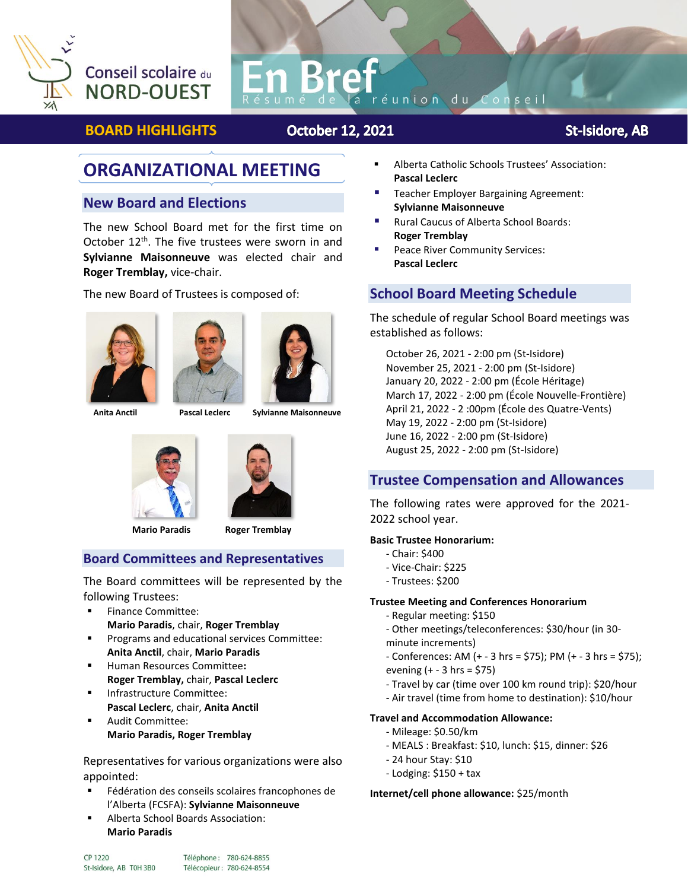

# Conseil scolaire du **NORD-OUEST**

# réunion du Consei

## **BOARD HIGHLIGHTS**

## **October 12, 2021**

**St-Isidore, AB** 

# **ORGANIZATIONAL MEETING**

#### **New Board and Elections**

The new School Board met for the first time on October  $12<sup>th</sup>$ . The five trustees were sworn in and **Sylvianne Maisonneuve** was elected chair and **Roger Tremblay,** vice-chair.

The new Board of Trustees is composed of:







 **Anita Anctil Pascal Leclerc Sylvianne Maisonneuve**





 **Mario Paradis Roger Tremblay**

#### **Board Committees and Representatives**

The Board committees will be represented by the following Trustees:

- Finance Committee:
- **Mario Paradis**, chair, **Roger Tremblay**
- Programs and educational services Committee: **Anita Anctil**, chair, **Mario Paradis**
- Human Resources Committee**: Roger Tremblay,** chair, **Pascal Leclerc**
- **■** Infrastructure Committee: **Pascal Leclerc**, chair, **Anita Anctil**
- Audit Committee: **Mario Paradis, Roger Tremblay**

Representatives for various organizations were also appointed:

- Fédération des conseils scolaires francophones de l'Alberta (FCSFA): **Sylvianne Maisonneuve**
- Alberta School Boards Association: **Mario Paradis**
- Alberta Catholic Schools Trustees' Association: **Pascal Leclerc**
- Teacher Employer Bargaining Agreement: **Sylvianne Maisonneuve**
- Rural Caucus of Alberta School Boards: **Roger Tremblay**
- Peace River Community Services: **Pascal Leclerc**

#### **School Board Meeting Schedule**

The schedule of regular School Board meetings was established as follows:

October 26, 2021 - 2:00 pm (St-Isidore) November 25, 2021 - 2:00 pm (St-Isidore) January 20, 2022 - 2:00 pm (École Héritage) March 17, 2022 - 2:00 pm (École Nouvelle-Frontière) April 21, 2022 - 2 :00pm (École des Quatre-Vents) May 19, 2022 - 2:00 pm (St-Isidore) June 16, 2022 - 2:00 pm (St-Isidore) August 25, 2022 - 2:00 pm (St-Isidore)

#### **Trustee Compensation and Allowances**

The following rates were approved for the 2021- 2022 school year.

#### **Basic Trustee Honorarium:**

- Chair: \$400
- Vice-Chair: \$225
- Trustees: \$200

#### **Trustee Meeting and Conferences Honorarium**

- Regular meeting: \$150
- Other meetings/teleconferences: \$30/hour (in 30-
- minute increments)
- Conferences: AM (+ 3 hrs = \$75); PM (+ 3 hrs = \$75); evening (+ - 3 hrs = \$75)
- 
- Travel by car (time over 100 km round trip): \$20/hour
- Air travel (time from home to destination): \$10/hour

#### **Travel and Accommodation Allowance:**

- Mileage: \$0.50/km
- MEALS : Breakfast: \$10, lunch: \$15, dinner: \$26
- 24 hour Stay: \$10
- Lodging: \$150 + tax

**Internet/cell phone allowance:** \$25/month